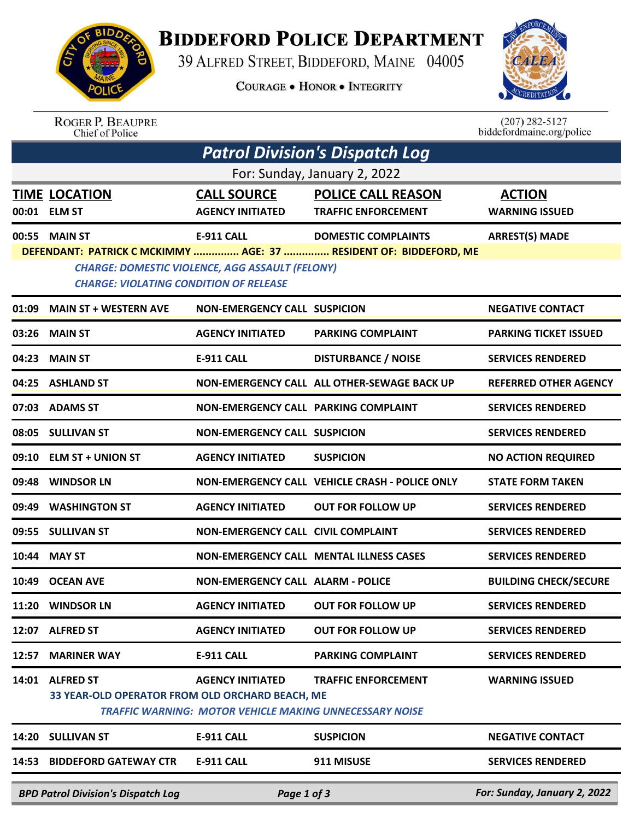

## **BIDDEFORD POLICE DEPARTMENT**

39 ALFRED STREET, BIDDEFORD, MAINE 04005

**COURAGE . HONOR . INTEGRITY** 



ROGER P. BEAUPRE<br>Chief of Police

 $(207)$  282-5127<br>biddefordmaine.org/police

| Patrol Division's Dispatch Log                                                                          |                                                                     |                                                                                           |                                                                                                 |                                        |  |  |  |  |
|---------------------------------------------------------------------------------------------------------|---------------------------------------------------------------------|-------------------------------------------------------------------------------------------|-------------------------------------------------------------------------------------------------|----------------------------------------|--|--|--|--|
| For: Sunday, January 2, 2022                                                                            |                                                                     |                                                                                           |                                                                                                 |                                        |  |  |  |  |
|                                                                                                         | <b>TIME LOCATION</b><br>00:01 ELM ST                                | <b>CALL SOURCE</b><br><b>AGENCY INITIATED</b>                                             | <b>POLICE CALL REASON</b><br><b>TRAFFIC ENFORCEMENT</b>                                         | <b>ACTION</b><br><b>WARNING ISSUED</b> |  |  |  |  |
|                                                                                                         | 00:55 MAIN ST                                                       | E-911 CALL                                                                                | <b>DOMESTIC COMPLAINTS</b><br>DEFENDANT: PATRICK C MCKIMMY  AGE: 37  RESIDENT OF: BIDDEFORD, ME | <b>ARREST(S) MADE</b>                  |  |  |  |  |
| <b>CHARGE: DOMESTIC VIOLENCE, AGG ASSAULT (FELONY)</b><br><b>CHARGE: VIOLATING CONDITION OF RELEASE</b> |                                                                     |                                                                                           |                                                                                                 |                                        |  |  |  |  |
| 01:09                                                                                                   | <b>MAIN ST + WESTERN AVE</b>                                        | <b>NON-EMERGENCY CALL SUSPICION</b>                                                       |                                                                                                 | <b>NEGATIVE CONTACT</b>                |  |  |  |  |
| 03:26                                                                                                   | <b>MAIN ST</b>                                                      | <b>AGENCY INITIATED</b>                                                                   | <b>PARKING COMPLAINT</b>                                                                        | <b>PARKING TICKET ISSUED</b>           |  |  |  |  |
| 04:23                                                                                                   | <b>MAIN ST</b>                                                      | E-911 CALL                                                                                | <b>DISTURBANCE / NOISE</b>                                                                      | <b>SERVICES RENDERED</b>               |  |  |  |  |
|                                                                                                         | 04:25 ASHLAND ST                                                    |                                                                                           | NON-EMERGENCY CALL ALL OTHER-SEWAGE BACK UP                                                     | <b>REFERRED OTHER AGENCY</b>           |  |  |  |  |
|                                                                                                         | 07:03 ADAMS ST                                                      | NON-EMERGENCY CALL PARKING COMPLAINT                                                      |                                                                                                 | <b>SERVICES RENDERED</b>               |  |  |  |  |
|                                                                                                         | 08:05 SULLIVAN ST                                                   | <b>NON-EMERGENCY CALL SUSPICION</b>                                                       |                                                                                                 | <b>SERVICES RENDERED</b>               |  |  |  |  |
| 09:10                                                                                                   | <b>ELM ST + UNION ST</b>                                            | <b>AGENCY INITIATED</b>                                                                   | <b>SUSPICION</b>                                                                                | <b>NO ACTION REQUIRED</b>              |  |  |  |  |
| 09:48                                                                                                   | <b>WINDSOR LN</b>                                                   |                                                                                           | NON-EMERGENCY CALL VEHICLE CRASH - POLICE ONLY                                                  | <b>STATE FORM TAKEN</b>                |  |  |  |  |
| 09:49                                                                                                   | <b>WASHINGTON ST</b>                                                | <b>AGENCY INITIATED</b>                                                                   | <b>OUT FOR FOLLOW UP</b>                                                                        | <b>SERVICES RENDERED</b>               |  |  |  |  |
|                                                                                                         | 09:55 SULLIVAN ST                                                   | <b>NON-EMERGENCY CALL CIVIL COMPLAINT</b>                                                 |                                                                                                 | <b>SERVICES RENDERED</b>               |  |  |  |  |
| 10:44                                                                                                   | <b>MAY ST</b>                                                       |                                                                                           | NON-EMERGENCY CALL MENTAL ILLNESS CASES                                                         | <b>SERVICES RENDERED</b>               |  |  |  |  |
| 10:49                                                                                                   | <b>OCEAN AVE</b>                                                    | <b>NON-EMERGENCY CALL ALARM - POLICE</b>                                                  |                                                                                                 | <b>BUILDING CHECK/SECURE</b>           |  |  |  |  |
|                                                                                                         | 11:20 WINDSOR LN                                                    | <b>AGENCY INITIATED</b>                                                                   | <b>OUT FOR FOLLOW UP</b>                                                                        | <b>SERVICES RENDERED</b>               |  |  |  |  |
| 12:07                                                                                                   | <b>ALFRED ST</b>                                                    | <b>AGENCY INITIATED</b>                                                                   | <b>OUT FOR FOLLOW UP</b>                                                                        | <b>SERVICES RENDERED</b>               |  |  |  |  |
| 12:57                                                                                                   | <b>MARINER WAY</b>                                                  | <b>E-911 CALL</b>                                                                         | <b>PARKING COMPLAINT</b>                                                                        | <b>SERVICES RENDERED</b>               |  |  |  |  |
| 14:01                                                                                                   | <b>ALFRED ST</b><br>33 YEAR-OLD OPERATOR FROM OLD ORCHARD BEACH, ME | <b>AGENCY INITIATED</b><br><b>TRAFFIC WARNING: MOTOR VEHICLE MAKING UNNECESSARY NOISE</b> | <b>TRAFFIC ENFORCEMENT</b>                                                                      | <b>WARNING ISSUED</b>                  |  |  |  |  |
| 14:20                                                                                                   | <b>SULLIVAN ST</b>                                                  | <b>E-911 CALL</b>                                                                         | <b>SUSPICION</b>                                                                                | <b>NEGATIVE CONTACT</b>                |  |  |  |  |
| 14:53                                                                                                   | <b>BIDDEFORD GATEWAY CTR</b>                                        | <b>E-911 CALL</b>                                                                         | 911 MISUSE                                                                                      | <b>SERVICES RENDERED</b>               |  |  |  |  |
|                                                                                                         | <b>BPD Patrol Division's Dispatch Log</b>                           | Page 1 of 3                                                                               |                                                                                                 | For: Sunday, January 2, 2022           |  |  |  |  |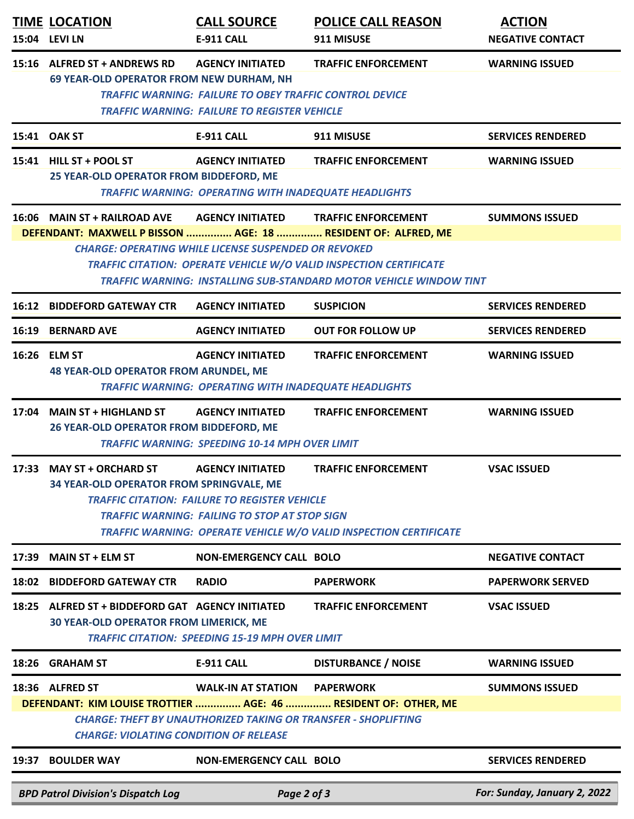|       | <b>TIME LOCATION</b><br>15:04 LEVI LN                                                                                                                                                                                                                                               | <b>CALL SOURCE</b><br>E-911 CALL                                                                                                        | <b>POLICE CALL REASON</b><br>911 MISUSE                                                                                                                | <b>ACTION</b><br><b>NEGATIVE CONTACT</b> |  |  |  |
|-------|-------------------------------------------------------------------------------------------------------------------------------------------------------------------------------------------------------------------------------------------------------------------------------------|-----------------------------------------------------------------------------------------------------------------------------------------|--------------------------------------------------------------------------------------------------------------------------------------------------------|------------------------------------------|--|--|--|
|       | 15:16 ALFRED ST + ANDREWS RD<br><b>AGENCY INITIATED</b><br><b>TRAFFIC ENFORCEMENT</b><br><b>WARNING ISSUED</b><br>69 YEAR-OLD OPERATOR FROM NEW DURHAM, NH<br><b>TRAFFIC WARNING: FAILURE TO OBEY TRAFFIC CONTROL DEVICE</b><br><b>TRAFFIC WARNING: FAILURE TO REGISTER VEHICLE</b> |                                                                                                                                         |                                                                                                                                                        |                                          |  |  |  |
|       | 15:41 OAK ST                                                                                                                                                                                                                                                                        | <b>E-911 CALL</b>                                                                                                                       | 911 MISUSE                                                                                                                                             | <b>SERVICES RENDERED</b>                 |  |  |  |
|       | 15:41 HILL ST + POOL ST<br>25 YEAR-OLD OPERATOR FROM BIDDEFORD, ME                                                                                                                                                                                                                  | <b>AGENCY INITIATED</b><br><b>TRAFFIC WARNING: OPERATING WITH INADEQUATE HEADLIGHTS</b>                                                 | <b>TRAFFIC ENFORCEMENT</b>                                                                                                                             | <b>WARNING ISSUED</b>                    |  |  |  |
|       | 16:06 MAIN ST + RAILROAD AVE                                                                                                                                                                                                                                                        | <b>AGENCY INITIATED</b>                                                                                                                 | <b>TRAFFIC ENFORCEMENT</b>                                                                                                                             | <b>SUMMONS ISSUED</b>                    |  |  |  |
|       | DEFENDANT: MAXWELL P BISSON  AGE: 18  RESIDENT OF: ALFRED, ME                                                                                                                                                                                                                       | <b>CHARGE: OPERATING WHILE LICENSE SUSPENDED OR REVOKED</b>                                                                             | <b>TRAFFIC CITATION: OPERATE VEHICLE W/O VALID INSPECTION CERTIFICATE</b><br><b>TRAFFIC WARNING: INSTALLING SUB-STANDARD MOTOR VEHICLE WINDOW TINT</b> |                                          |  |  |  |
| 16:12 | <b>BIDDEFORD GATEWAY CTR</b>                                                                                                                                                                                                                                                        | <b>AGENCY INITIATED</b>                                                                                                                 | <b>SUSPICION</b>                                                                                                                                       | <b>SERVICES RENDERED</b>                 |  |  |  |
| 16:19 | <b>BERNARD AVE</b>                                                                                                                                                                                                                                                                  | <b>AGENCY INITIATED</b>                                                                                                                 | <b>OUT FOR FOLLOW UP</b>                                                                                                                               | <b>SERVICES RENDERED</b>                 |  |  |  |
|       | 16:26 ELM ST<br><b>48 YEAR-OLD OPERATOR FROM ARUNDEL, ME</b>                                                                                                                                                                                                                        | <b>AGENCY INITIATED</b><br><b>TRAFFIC WARNING: OPERATING WITH INADEQUATE HEADLIGHTS</b>                                                 | <b>TRAFFIC ENFORCEMENT</b>                                                                                                                             | <b>WARNING ISSUED</b>                    |  |  |  |
|       | 17:04 MAIN ST + HIGHLAND ST<br><b>TRAFFIC ENFORCEMENT</b><br><b>WARNING ISSUED</b><br><b>AGENCY INITIATED</b><br>26 YEAR-OLD OPERATOR FROM BIDDEFORD, ME<br><b>TRAFFIC WARNING: SPEEDING 10-14 MPH OVER LIMIT</b>                                                                   |                                                                                                                                         |                                                                                                                                                        |                                          |  |  |  |
|       | 17:33 MAY ST + ORCHARD ST<br>34 YEAR-OLD OPERATOR FROM SPRINGVALE, ME                                                                                                                                                                                                               | <b>AGENCY INITIATED</b><br><b>TRAFFIC CITATION: FAILURE TO REGISTER VEHICLE</b><br><b>TRAFFIC WARNING: FAILING TO STOP AT STOP SIGN</b> | <b>TRAFFIC ENFORCEMENT</b><br>TRAFFIC WARNING: OPERATE VEHICLE W/O VALID INSPECTION CERTIFICATE                                                        | <b>VSAC ISSUED</b>                       |  |  |  |
| 17:39 | <b>MAIN ST + ELM ST</b>                                                                                                                                                                                                                                                             | <b>NON-EMERGENCY CALL BOLO</b>                                                                                                          |                                                                                                                                                        | <b>NEGATIVE CONTACT</b>                  |  |  |  |
| 18:02 | <b>BIDDEFORD GATEWAY CTR</b>                                                                                                                                                                                                                                                        | <b>RADIO</b>                                                                                                                            | <b>PAPERWORK</b>                                                                                                                                       | <b>PAPERWORK SERVED</b>                  |  |  |  |
| 18:25 | ALFRED ST + BIDDEFORD GAT AGENCY INITIATED<br><b>30 YEAR-OLD OPERATOR FROM LIMERICK, ME</b>                                                                                                                                                                                         | <b>TRAFFIC CITATION: SPEEDING 15-19 MPH OVER LIMIT</b>                                                                                  | <b>TRAFFIC ENFORCEMENT</b>                                                                                                                             | <b>VSAC ISSUED</b>                       |  |  |  |
| 18:26 | <b>GRAHAM ST</b>                                                                                                                                                                                                                                                                    | <b>E-911 CALL</b>                                                                                                                       | <b>DISTURBANCE / NOISE</b>                                                                                                                             | <b>WARNING ISSUED</b>                    |  |  |  |
|       | 18:36 ALFRED ST<br><b>CHARGE: VIOLATING CONDITION OF RELEASE</b>                                                                                                                                                                                                                    | <b>WALK-IN AT STATION</b><br><b>CHARGE: THEFT BY UNAUTHORIZED TAKING OR TRANSFER - SHOPLIFTING</b>                                      | <b>PAPERWORK</b><br>DEFENDANT: KIM LOUISE TROTTIER  AGE: 46  RESIDENT OF: OTHER, ME                                                                    | <b>SUMMONS ISSUED</b>                    |  |  |  |
| 19:37 | <b>BOULDER WAY</b>                                                                                                                                                                                                                                                                  | <b>NON-EMERGENCY CALL BOLO</b>                                                                                                          |                                                                                                                                                        | <b>SERVICES RENDERED</b>                 |  |  |  |
|       | <b>BPD Patrol Division's Dispatch Log</b>                                                                                                                                                                                                                                           | Page 2 of 3                                                                                                                             |                                                                                                                                                        | For: Sunday, January 2, 2022             |  |  |  |